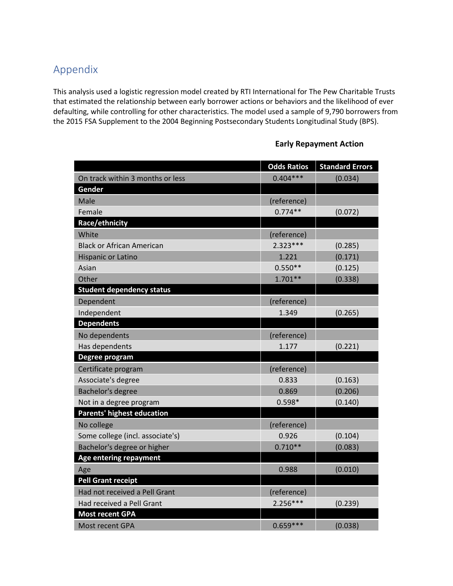## Appendix

This analysis used a logistic regression model created by RTI International for The Pew Charitable Trusts that estimated the relationship between early borrower actions or behaviors and the likelihood of ever defaulting, while controlling for other characteristics. The model used a sample of 9,790 borrowers from the 2015 FSA Supplement to the 2004 Beginning Postsecondary Students Longitudinal Study (BPS).

|                                   | <b>Odds Ratios</b> | <b>Standard Errors</b> |
|-----------------------------------|--------------------|------------------------|
| On track within 3 months or less  | $0.404***$         | (0.034)                |
| Gender                            |                    |                        |
| Male                              | (reference)        |                        |
| Female                            | $0.774**$          | (0.072)                |
| Race/ethnicity                    |                    |                        |
| White                             | (reference)        |                        |
| <b>Black or African American</b>  | $2.323***$         | (0.285)                |
| <b>Hispanic or Latino</b>         | 1.221              | (0.171)                |
| Asian                             | $0.550**$          | (0.125)                |
| Other                             | $1.701**$          | (0.338)                |
| <b>Student dependency status</b>  |                    |                        |
| Dependent                         | (reference)        |                        |
| Independent                       | 1.349              | (0.265)                |
| <b>Dependents</b>                 |                    |                        |
| No dependents                     | (reference)        |                        |
| Has dependents                    | 1.177              | (0.221)                |
| Degree program                    |                    |                        |
| Certificate program               | (reference)        |                        |
| Associate's degree                | 0.833              | (0.163)                |
| Bachelor's degree                 | 0.869              | (0.206)                |
| Not in a degree program           | $0.598*$           | (0.140)                |
| <b>Parents' highest education</b> |                    |                        |
| No college                        | (reference)        |                        |
| Some college (incl. associate's)  | 0.926              | (0.104)                |
| Bachelor's degree or higher       | $0.710**$          | (0.083)                |
| Age entering repayment            |                    |                        |
| Age                               | 0.988              | (0.010)                |
| <b>Pell Grant receipt</b>         |                    |                        |
| Had not received a Pell Grant     | (reference)        |                        |
| Had received a Pell Grant         | $2.256***$         | (0.239)                |
| <b>Most recent GPA</b>            |                    |                        |
| Most recent GPA                   | $0.659***$         | (0.038)                |

## **Early Repayment Action**